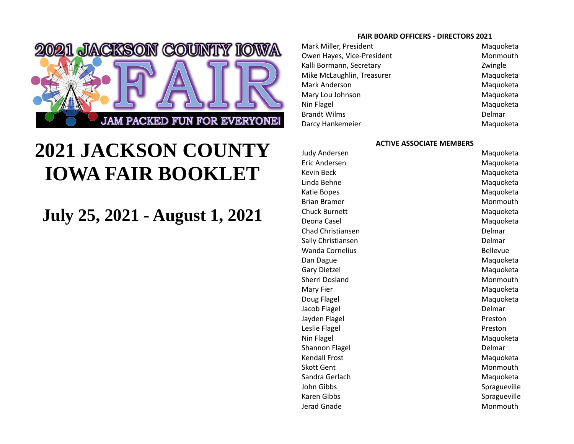

# **2021 JACKSON COUNTY IOWA FAIR BOOKLET**

## **July 25, 2021 - August 1, 2021**

#### **FAIR BOARD OFFICERS - DIRECTORS 2021**

Mark Miller, President Maguoketa Owen Hayes, Vice-President Monmouth Kalli Bormann, Secretary **Example 2018** Zwingle Mike McLaughlin, Treasurer Maguoketa Mark Anderson Maguoketa Mary Lou Johnson Maguoketa Nin Flagel Maquoketa Brandt Wilms **Delmar** Delmar Darcy Hankemeier **Maguoketa** Maquoketa

#### **ACTIVE ASSOCIATE MEMBERS**

Judy Andersen Maguoketa Eric Andersen Maguoketa Kevin Beck Maguoketa Linda Behne Maguoketa Katie Bopes **Maguoketa** Brian Bramer Monmouth Chuck Burnett Maguoketa Deona Casel Maguoketa Maguoketa Chad Christiansen Delmar Sally Christiansen Delmar Wanda Cornelius **Bellevue** Bellevue Dan Dague Maguoketa Gary Dietzel Maguoketa Sherri Dosland Monmouth Mary Fier Maquoketa Doug Flagel **Maguoketa** Maquoketa Jacob Flagel **Delmar** Delmar Jayden Flagel **Preston** Leslie Flagel **Preston** Nin Flagel Maquoketa Shannon Flagel **Delmar** Delmar Kendall Frost Naquoketa Skott Gent Monmouth Sandra Gerlach Maguoketa John Gibbs Spragueville Karen Gibbs Spragueville Jerad Gnade **Monmouth** Monmouth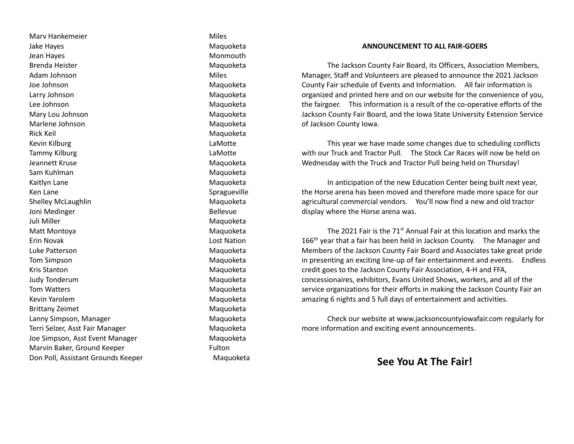Marv Hankemeier **Miles** Miles Jake Hayes **Maguoketa** Jean Hayes **Monmouth Monmouth** Brenda Heister Maguoketa Adam Johnson **Miles** Joe Johnson Maguoketa Larry Johnson Maguoketa Lee Johnson Maquoketa Mary Lou Johnson **Maguoketa** Marlene Johnson Maguoketa Rick Keil Maguoketa Kevin Kilburg **Lamotte** Tammy Kilburg **Lammy Kilburg Lammy** Kilburg **Lammy Lammy Lammy Lammy Lammy Lammy Lammy Lammy Lammy Lammy Lammy Lammy Lammy Lammy Lammy Lammy Lammy Lammy Lammy Lammy Lammy Lammy** Jeannett Kruse Maguoketa Sam Kuhlman Maguoketa Kaitlyn Lane Maguoketa Ken Lane Spragueville Shelley McLaughlin Maguoketa Joni Medinger **Bellevue** Juli Miller Maguoketa Matt Montoya **Matt Montoya** Maguoketa Erin Novak Lost Nation Luke Patterson Maguoketa Tom Simpson **Maguoketa** Kris Stanton Maguoketa Judy Tonderum and The Contract of the Maquoketa Tom Watters **Maguoketa** Maguoketa Kevin Yarolem Maguoketa Brittany Zeimet Maguoketa Lanny Simpson, Manager Maguoketa Terri Selzer, Asst Fair Manager Manager Maquoketa Joe Simpson, Asst Event Manager Maguoketa Marvin Baker, Ground Keeper Fulton Don Poll, Assistant Grounds Keeper Maquoketa

#### **ANNOUNCEMENT TO ALL FAIR-GOERS**

The Jackson County Fair Board, its Officers, Association Members, Manager, Staff and Volunteers are pleased to announce the 2021 Jackson County Fair schedule of Events and Information. All fair information is organized and printed here and on our website for the convenience of you, the fairgoer. This information is a result of the co-operative efforts of the Jackson County Fair Board, and the Iowa State University Extension Service of Jackson County Iowa.

This year we have made some changes due to scheduling conflicts with our Truck and Tractor Pull. The Stock Car Races will now be held on Wednesday with the Truck and Tractor Pull being held on Thursday!

In anticipation of the new Education Center being built next year, the Horse arena has been moved and therefore made more space for our agricultural commercial vendors. You'll now find a new and old tractor display where the Horse arena was.

The 2021 Fair is the 71<sup>st</sup> Annual Fair at this location and marks the 166<sup>th</sup> year that a fair has been held in Jackson County. The Manager and Members of the Jackson County Fair Board and Associates take great pride in presenting an exciting line-up of fair entertainment and events. Endless credit goes to the Jackson County Fair Association, 4-H and FFA, concessionaires, exhibitors, Evans United Shows, workers, and all of the service organizations for their efforts in making the Jackson County Fair an amazing 6 nights and 5 full days of entertainment and activities.

Check our website at www.jacksoncountyiowafair.com regularly for more information and exciting event announcements.

## **See You At The Fair!**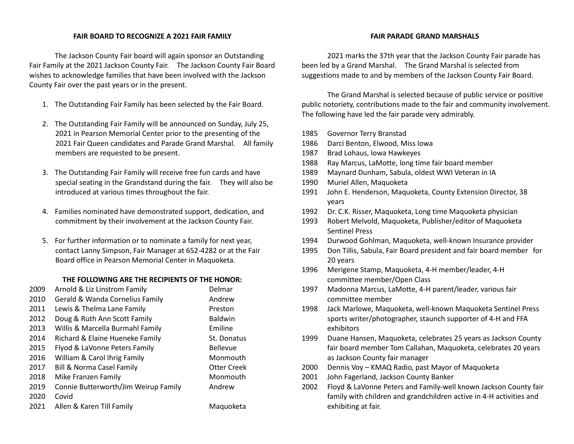#### **FAIR BOARD TO RECOGNIZE A 2021 FAIR FAMILY**

The Jackson County Fair board will again sponsor an Outstanding Fair Family at the 2021 Jackson County Fair. The Jackson County Fair Board wishes to acknowledge families that have been involved with the Jackson County Fair over the past years or in the present.

- 1. The Outstanding Fair Family has been selected by the Fair Board.
- 2. The Outstanding Fair Family will be announced on Sunday, July 25, 2021 in Pearson Memorial Center prior to the presenting of the 2021 Fair Queen candidates and Parade Grand Marshal. All family members are requested to be present.
- 3. The Outstanding Fair Family will receive free fun cards and have special seating in the Grandstand during the fair. They will also be introduced at various times throughout the fair.
- 4. Families nominated have demonstrated support, dedication, and commitment by their involvement at the Jackson County Fair.
- 5. For further information or to nominate a family for next year, contact Lanny Simpson, Fair Manager at 652-4282 or at the Fair Board office in Pearson Memorial Center in Maquoketa.

#### **THE FOLLOWING ARE THE RECIPIENTS OF THE HONOR:**

| 2009 | Arnold & Liz Linstrom Family         | Delmar             |
|------|--------------------------------------|--------------------|
| 2010 | Gerald & Wanda Cornelius Family      | Andrew             |
| 2011 | Lewis & Thelma Lane Family           | Preston            |
| 2012 | Doug & Ruth Ann Scott Family         | <b>Baldwin</b>     |
| 2013 | Willis & Marcella Burmahl Family     | Emiline            |
| 2014 | Richard & Elaine Hueneke Family      | St. Donatus        |
| 2015 | Flyod & LaVonne Peters Family        | <b>Bellevue</b>    |
| 2016 | William & Carol Ihrig Family         | Monmouth           |
| 2017 | <b>Bill &amp; Norma Casel Family</b> | <b>Otter Creek</b> |
| 2018 | Mike Franzen Family                  | Monmouth           |
| 2019 | Connie Butterworth/Jim Weirup Family | Andrew             |
| 2020 | Covid                                |                    |
| 2021 | Allen & Karen Till Family            | Maguoketa          |

#### **FAIR PARADE GRAND MARSHALS**

2021 marks the 37th year that the Jackson County Fair parade has been led by a Grand Marshal. The Grand Marshal is selected from suggestions made to and by members of the Jackson County Fair Board.

The Grand Marshal is selected because of public service or positive public notoriety, contributions made to the fair and community involvement. The following have led the fair parade very admirably.

- 1985 Governor Terry Branstad
- 1986 Darci Benton, Elwood, Miss Iowa
- 1987 Brad Lohaus, Iowa Hawkeyes
- 1988 Ray Marcus, LaMotte, long time fair board member
- 1989 Maynard Dunham, Sabula, oldest WWI Veteran in IA
- 1990 Muriel Allen, Maquoketa
- 1991 John E. Henderson, Maquoketa, County Extension Director, 38 years
- 1992 Dr. C.K. Risser, Maquoketa, Long time Maquoketa physician
- 1993 Robert Melvold, Maquoketa, Publisher/editor of Maquoketa Sentinel Press
- 1994 Durwood Gohlman, Maquoketa, well-known Insurance provider
- 1995 Don Tillis, Sabula, Fair Board president and fair board member for 20 years
- 1996 Merigene Stamp, Maquoketa, 4-H member/leader, 4-H committee member/Open Class
- 1997 Madonna Marcus, LaMotte, 4-H parent/leader, various fair committee member
- 1998 Jack Marlowe, Maquoketa, well-known Maquoketa Sentinel Press sports writer/photographer, staunch supporter of 4-H and FFA exhibitors
- 1999 Duane Hansen, Maquoketa, celebrates 25 years as Jackson County fair board member Tom Callahan, Maquoketa, celebrates 20 years as Jackson County fair manager
- 2000 Dennis Voy KMAQ Radio, past Mayor of Maquoketa
- 2001 John Fagerland, Jackson County Banker
- 2002 Floyd & LaVonne Peters and Family-well known Jackson County fair family with children and grandchildren active in 4-H activities and exhibiting at fair.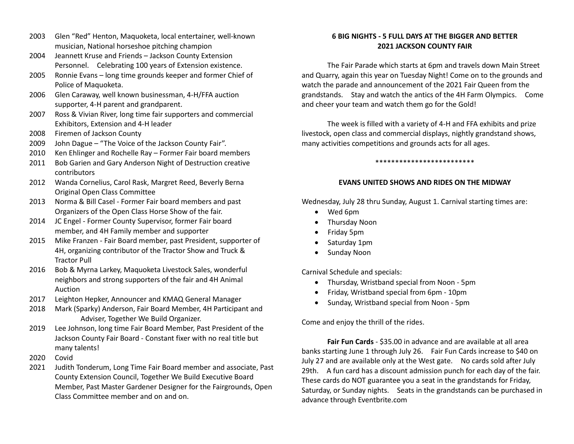- 2003 Glen "Red" Henton, Maquoketa, local entertainer, well-known musician, National horseshoe pitching champion
- 2004 Jeannett Kruse and Friends Jackson County Extension Personnel. Celebrating 100 years of Extension existence.
- 2005 Ronnie Evans long time grounds keeper and former Chief of Police of Maquoketa.
- 2006 Glen Caraway, well known businessman, 4-H/FFA auction supporter, 4-H parent and grandparent.
- 2007 Ross & Vivian River, long time fair supporters and commercial Exhibitors, Extension and 4-H leader
- 2008 Firemen of Jackson County
- 2009 John Dague "The Voice of the Jackson County Fair".
- 2010 Ken Ehlinger and Rochelle Ray Former Fair board members
- 2011 Bob Garien and Gary Anderson Night of Destruction creative contributors
- 2012 Wanda Cornelius, Carol Rask, Margret Reed, Beverly Berna Original Open Class Committee
- 2013 Norma & Bill Casel Former Fair board members and past Organizers of the Open Class Horse Show of the fair.
- 2014 JC Engel Former County Supervisor, former Fair board member, and 4H Family member and supporter
- 2015 Mike Franzen Fair Board member, past President, supporter of 4H, organizing contributor of the Tractor Show and Truck & Tractor Pull
- 2016 Bob & Myrna Larkey, Maquoketa Livestock Sales, wonderful neighbors and strong supporters of the fair and 4H Animal Auction
- 2017 Leighton Hepker, Announcer and KMAQ General Manager
- 2018 Mark (Sparky) Anderson, Fair Board Member, 4H Participant and Adviser, Together We Build Organizer.
- 2019 Lee Johnson, long time Fair Board Member, Past President of the Jackson County Fair Board - Constant fixer with no real title but many talents!
- 2020 Covid
- 2021 Judith Tonderum, Long Time Fair Board member and associate, Past County Extension Council, Together We Build Executive Board Member, Past Master Gardener Designer for the Fairgrounds, Open Class Committee member and on and on.

## **6 BIG NIGHTS - 5 FULL DAYS AT THE BIGGER AND BETTER 2021 JACKSON COUNTY FAIR**

The Fair Parade which starts at 6pm and travels down Main Street and Quarry, again this year on Tuesday Night! Come on to the grounds and watch the parade and announcement of the 2021 Fair Queen from the grandstands. Stay and watch the antics of the 4H Farm Olympics. Come and cheer your team and watch them go for the Gold!

The week is filled with a variety of 4-H and FFA exhibits and prize livestock, open class and commercial displays, nightly grandstand shows, many activities competitions and grounds acts for all ages.

#### \*\*\*\*\*\*\*\*\*\*\*\*\*\*\*\*\*\*\*\*\*\*\*\*\*

#### **EVANS UNITED SHOWS AND RIDES ON THE MIDWAY**

Wednesday, July 28 thru Sunday, August 1. Carnival starting times are:

- Wed 6pm
- Thursday Noon
- Friday 5pm
- Saturday 1pm
- Sunday Noon

Carnival Schedule and specials:

- Thursday, Wristband special from Noon 5pm
- Friday, Wristband special from 6pm 10pm
- Sunday, Wristband special from Noon 5pm

Come and enjoy the thrill of the rides.

**Fair Fun Cards** - \$35.00 in advance and are available at all area banks starting June 1 through July 26. Fair Fun Cards increase to \$40 on July 27 and are available only at the West gate. No cards sold after July 29th. A fun card has a discount admission punch for each day of the fair. These cards do NOT guarantee you a seat in the grandstands for Friday, Saturday, or Sunday nights. Seats in the grandstands can be purchased in advance through Eventbrite.com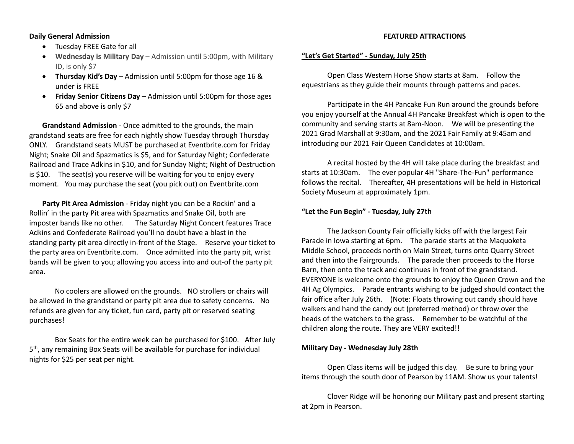#### **Daily General Admission**

- Tuesday FREE Gate for all
- **Wednesday is Military Day** Admission until 5:00pm, with Military ID, is only \$7
- **Thursday Kid's Day** Admission until 5:00pm for those age 16 & under is FREE
- **Friday Senior Citizens Day** Admission until 5:00pm for those ages 65 and above is only \$7

**Grandstand Admission** - Once admitted to the grounds, the main grandstand seats are free for each nightly show Tuesday through Thursday ONLY. Grandstand seats MUST be purchased at Eventbrite.com for Friday Night; Snake Oil and Spazmatics is \$5, and for Saturday Night; Confederate Railroad and Trace Adkins in \$10, and for Sunday Night; Night of Destruction is \$10. The seat(s) you reserve will be waiting for you to enjoy every moment. You may purchase the seat (you pick out) on Eventbrite.com

**Party Pit Area Admission** - Friday night you can be a Rockin' and a Rollin' in the party Pit area with Spazmatics and Snake Oil, both are imposter bands like no other. The Saturday Night Concert features Trace Adkins and Confederate Railroad you'll no doubt have a blast in the standing party pit area directly in-front of the Stage. Reserve your ticket to the party area on Eventbrite.com. Once admitted into the party pit, wrist bands will be given to you; allowing you access into and out-of the party pit area.

No coolers are allowed on the grounds. NO strollers or chairs will be allowed in the grandstand or party pit area due to safety concerns. No refunds are given for any ticket, fun card, party pit or reserved seating purchases!

Box Seats for the entire week can be purchased for \$100. After July 5<sup>th</sup>, any remaining Box Seats will be available for purchase for individual nights for \$25 per seat per night.

#### **FEATURED ATTRACTIONS**

#### **"Let's Get Started" - Sunday, July 25th**

Open Class Western Horse Show starts at 8am. Follow the equestrians as they guide their mounts through patterns and paces.

Participate in the 4H Pancake Fun Run around the grounds before you enjoy yourself at the Annual 4H Pancake Breakfast which is open to the community and serving starts at 8am-Noon. We will be presenting the 2021 Grad Marshall at 9:30am, and the 2021 Fair Family at 9:45am and introducing our 2021 Fair Queen Candidates at 10:00am.

A recital hosted by the 4H will take place during the breakfast and starts at 10:30am. The ever popular 4H "Share-The-Fun" performance follows the recital. Thereafter, 4H presentations will be held in Historical Society Museum at approximately 1pm.

#### **"Let the Fun Begin" - Tuesday, July 27th**

The Jackson County Fair officially kicks off with the largest Fair Parade in Iowa starting at 6pm. The parade starts at the Maquoketa Middle School, proceeds north on Main Street, turns onto Quarry Street and then into the Fairgrounds. The parade then proceeds to the Horse Barn, then onto the track and continues in front of the grandstand. EVERYONE is welcome onto the grounds to enjoy the Queen Crown and the 4H Ag Olympics. Parade entrants wishing to be judged should contact the fair office after July 26th. (Note: Floats throwing out candy should have walkers and hand the candy out (preferred method) or throw over the heads of the watchers to the grass. Remember to be watchful of the children along the route. They are VERY excited!!

#### **Military Day - Wednesday July 28th**

Open Class items will be judged this day. Be sure to bring your items through the south door of Pearson by 11AM. Show us your talents!

Clover Ridge will be honoring our Military past and present starting at 2pm in Pearson.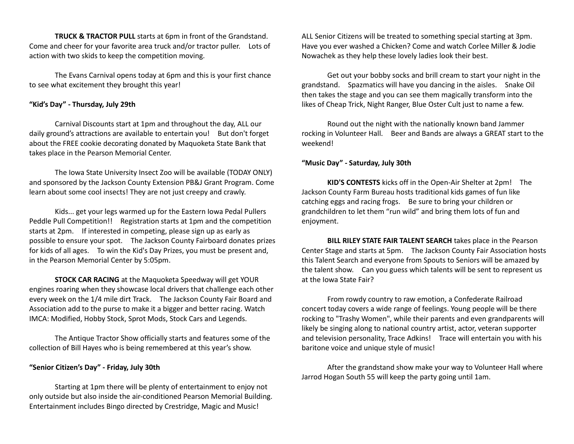**TRUCK & TRACTOR PULL** starts at 6pm in front of the Grandstand. Come and cheer for your favorite area truck and/or tractor puller. Lots of action with two skids to keep the competition moving.

The Evans Carnival opens today at 6pm and this is your first chance to see what excitement they brought this year!

## **"Kid's Day" - Thursday, July 29th**

Carnival Discounts start at 1pm and throughout the day, ALL our daily ground's attractions are available to entertain you! But don't forget about the FREE cookie decorating donated by Maquoketa State Bank that takes place in the Pearson Memorial Center.

The Iowa State University Insect Zoo will be available (TODAY ONLY) and sponsored by the Jackson County Extension PB&J Grant Program. Come learn about some cool insects! They are not just creepy and crawly.

Kids... get your legs warmed up for the Eastern Iowa Pedal Pullers Peddle Pull Competition!! Registration starts at 1pm and the competition starts at 2pm. If interested in competing, please sign up as early as possible to ensure your spot. The Jackson County Fairboard donates prizes for kids of all ages. To win the Kid's Day Prizes, you must be present and, in the Pearson Memorial Center by 5:05pm.

**STOCK CAR RACING** at the Maquoketa Speedway will get YOUR engines roaring when they showcase local drivers that challenge each other every week on the 1/4 mile dirt Track. The Jackson County Fair Board and Association add to the purse to make it a bigger and better racing. Watch IMCA: Modified, Hobby Stock, Sprot Mods, Stock Cars and Legends.

The Antique Tractor Show officially starts and features some of the collection of Bill Hayes who is being remembered at this year's show.

#### **"Senior Citizen's Day" - Friday, July 30th**

Starting at 1pm there will be plenty of entertainment to enjoy not only outside but also inside the air-conditioned Pearson Memorial Building. Entertainment includes Bingo directed by Crestridge, Magic and Music!

ALL Senior Citizens will be treated to something special starting at 3pm. Have you ever washed a Chicken? Come and watch Corlee Miller & Jodie Nowachek as they help these lovely ladies look their best.

Get out your bobby socks and brill cream to start your night in the grandstand. Spazmatics will have you dancing in the aisles. Snake Oil then takes the stage and you can see them magically transform into the likes of Cheap Trick, Night Ranger, Blue Oster Cult just to name a few.

Round out the night with the nationally known band Jammer rocking in Volunteer Hall. Beer and Bands are always a GREAT start to the weekend!

**"Music Day" - Saturday, July 30th**

**KID'S CONTESTS** kicks off in the Open-Air Shelter at 2pm! The Jackson County Farm Bureau hosts traditional kids games of fun like catching eggs and racing frogs. Be sure to bring your children or grandchildren to let them "run wild" and bring them lots of fun and enjoyment.

**BILL RILEY STATE FAIR TALENT SEARCH** takes place in the Pearson Center Stage and starts at 5pm. The Jackson County Fair Association hosts this Talent Search and everyone from Spouts to Seniors will be amazed by the talent show. Can you guess which talents will be sent to represent us at the Iowa State Fair?

From rowdy country to raw emotion, a Confederate Railroad concert today covers a wide range of feelings. Young people will be there rocking to "Trashy Women", while their parents and even grandparents will likely be singing along to national country artist, actor, veteran supporter and television personality, Trace Adkins! Trace will entertain you with his baritone voice and unique style of music!

After the grandstand show make your way to Volunteer Hall where Jarrod Hogan South 55 will keep the party going until 1am.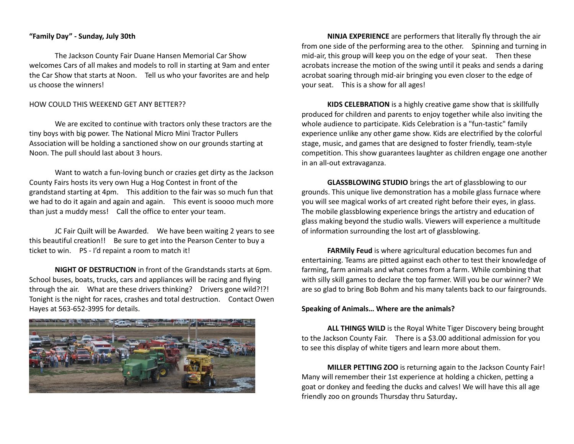#### **"Family Day" - Sunday, July 30th**

The Jackson County Fair Duane Hansen Memorial Car Show welcomes Cars of all makes and models to roll in starting at 9am and enter the Car Show that starts at Noon. Tell us who your favorites are and help us choose the winners!

#### HOW COULD THIS WEEKEND GET ANY BETTER??

We are excited to continue with tractors only these tractors are the tiny boys with big power. The National Micro Mini Tractor Pullers Association will be holding a sanctioned show on our grounds starting at Noon. The pull should last about 3 hours.

Want to watch a fun-loving bunch or crazies get dirty as the Jackson County Fairs hosts its very own Hug a Hog Contest in front of the grandstand starting at 4pm. This addition to the fair was so much fun that we had to do it again and again and again. This event is soooo much more than just a muddy mess! Call the office to enter your team.

JC Fair Quilt will be Awarded. We have been waiting 2 years to see this beautiful creation!! Be sure to get into the Pearson Center to buy a ticket to win. PS - I'd repaint a room to match it!

**NIGHT OF DESTRUCTION** in front of the Grandstands starts at 6pm. School buses, boats, trucks, cars and appliances will be racing and flying through the air. What are these drivers thinking? Drivers gone wild?!?! Tonight is the night for races, crashes and total destruction. Contact Owen Hayes at 563-652-3995 for details.



**NINJA EXPERIENCE** are performers that literally fly through the air from one side of the performing area to the other. Spinning and turning in mid-air, this group will keep you on the edge of your seat. Then these acrobats increase the motion of the swing until it peaks and sends a daring acrobat soaring through mid-air bringing you even closer to the edge of your seat. This is a show for all ages!

**KIDS CELEBRATION** is a highly creative game show that is skillfully produced for children and parents to enjoy together while also inviting the whole audience to participate. Kids Celebration is a "fun-tastic" family experience unlike any other game show. Kids are electrified by the colorful stage, music, and games that are designed to foster friendly, team-style competition. This show guarantees laughter as children engage one another in an all-out extravaganza.

**GLASSBLOWING STUDIO** brings the art of glassblowing to our grounds. This unique live demonstration has a mobile glass furnace where you will see magical works of art created right before their eyes, in glass. The mobile glassblowing experience brings the artistry and education of glass making beyond the studio walls. Viewers will experience a multitude of information surrounding the lost art of glassblowing.

**FARMily Feud** is where agricultural education becomes fun and entertaining. Teams are pitted against each other to test their knowledge of farming, farm animals and what comes from a farm. While combining that with silly skill games to declare the top farmer. Will you be our winner? We are so glad to bring Bob Bohm and his many talents back to our fairgrounds.

#### **Speaking of Animals… Where are the animals?**

**ALL THINGS WILD** is the Royal White Tiger Discovery being brought to the Jackson County Fair. There is a \$3.00 additional admission for you to see this display of white tigers and learn more about them.

**MILLER PETTING ZOO** is returning again to the Jackson County Fair! Many will remember their 1st experience at holding a chicken, petting a goat or donkey and feeding the ducks and calves! We will have this all age friendly zoo on grounds Thursday thru Saturday**.**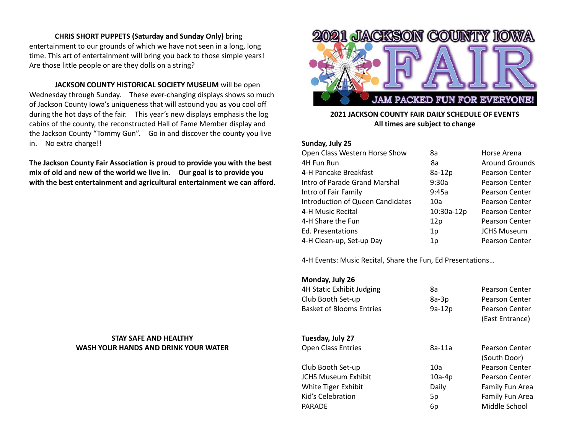#### **CHRIS SHORT PUPPETS (Saturday and Sunday Only)** bring

entertainment to our grounds of which we have not seen in a long, long time. This art of entertainment will bring you back to those simple years! Are those little people or are they dolls on a string?

**JACKSON COUNTY HISTORICAL SOCIETY MUSEUM** will be open Wednesday through Sunday. These ever-changing displays shows so much of Jackson County Iowa's uniqueness that will astound you as you cool off during the hot days of the fair. This year's new displays emphasis the log cabins of the county, the reconstructed Hall of Fame Member display and the Jackson County "Tommy Gun". Go in and discover the county you live in. No extra charge!!

**The Jackson County Fair Association is proud to provide you with the best mix of old and new of the world we live in. Our goal is to provide you with the best entertainment and agricultural entertainment we can afford.** 

## **STAY SAFE AND HEALTHY WASH YOUR HANDS AND DRINK YOUR WATER**



## **2021 JACKSON COUNTY FAIR DAILY SCHEDULE OF EVENTS All times are subject to change**

#### **Sunday, July 25**

| Open Class Western Horse Show           | 8a         | Horse Arena           |
|-----------------------------------------|------------|-----------------------|
| 4H Fun Run                              | 8a         | Around Grounds        |
| 4-H Pancake Breakfast                   | 8a-12p     | <b>Pearson Center</b> |
| Intro of Parade Grand Marshal           | 9:30a      | <b>Pearson Center</b> |
| Intro of Fair Family                    | 9:45a      | <b>Pearson Center</b> |
| <b>Introduction of Queen Candidates</b> | 10a        | <b>Pearson Center</b> |
| 4-H Music Recital                       | 10:30a-12p | <b>Pearson Center</b> |
| 4-H Share the Fun                       | 12p        | <b>Pearson Center</b> |
| Ed. Presentations                       | 1p         | <b>JCHS Museum</b>    |
| 4-H Clean-up, Set-up Day                | 1p         | <b>Pearson Center</b> |
|                                         |            |                       |

4-H Events: Music Recital, Share the Fun, Ed Presentations…

## **Monday, July 26**

| 4H Static Exhibit Judging<br>Club Booth Set-up<br><b>Basket of Blooms Entries</b> | 8a<br>8a-3p<br>9a-12p | <b>Pearson Center</b><br><b>Pearson Center</b><br><b>Pearson Center</b><br>(East Entrance) |
|-----------------------------------------------------------------------------------|-----------------------|--------------------------------------------------------------------------------------------|
| Tuesday, July 27                                                                  |                       |                                                                                            |
| <b>Open Class Entries</b>                                                         | 8a-11a                | <b>Pearson Center</b><br>(South Door)                                                      |
| Club Booth Set-up                                                                 | 10a                   | <b>Pearson Center</b>                                                                      |
| <b>JCHS Museum Exhibit</b>                                                        | $10a-4p$              | Pearson Center                                                                             |
| White Tiger Exhibit                                                               | Daily                 | Family Fun Area                                                                            |
| Kid's Celebration                                                                 | 5p                    | Family Fun Area                                                                            |
| <b>PARADE</b>                                                                     | 6p                    | Middle School                                                                              |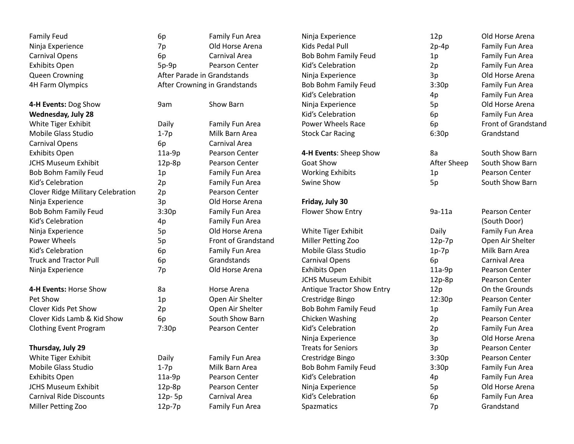| <b>Family Feud</b>                       | 6p                          | Family Fun Area               | Ninja Experience            | 12p         | Old Horse Arena       |
|------------------------------------------|-----------------------------|-------------------------------|-----------------------------|-------------|-----------------------|
| Ninja Experience                         | 7p                          | Old Horse Arena               | Kids Pedal Pull             | $2p-4p$     | Family Fun Area       |
| <b>Carnival Opens</b>                    | 6p                          | Carnival Area                 | <b>Bob Bohm Family Feud</b> | $1p$        | Family Fun Area       |
| <b>Exhibits Open</b>                     | $5p-9p$                     | Pearson Center                | Kid's Celebration           | 2p          | Family Fun Area       |
| Queen Crowning                           | After Parade in Grandstands |                               | Ninja Experience            | 3p          | Old Horse Arena       |
| 4H Farm Olympics                         |                             | After Crowning in Grandstands | <b>Bob Bohm Family Feud</b> | 3:30p       | Family Fun Area       |
|                                          |                             |                               | Kid's Celebration           | 4p          | Family Fun Area       |
| 4-H Events: Dog Show                     | 9am                         | Show Barn                     | Ninja Experience            | 5p          | Old Horse Arena       |
| <b>Wednesday, July 28</b>                |                             |                               | Kid's Celebration           | 6p          | Family Fun Area       |
| White Tiger Exhibit                      | Daily                       | Family Fun Area               | <b>Power Wheels Race</b>    | 6p          | Front of Grandstand   |
| Mobile Glass Studio                      | $1-7p$                      | Milk Barn Area                | <b>Stock Car Racing</b>     | 6:30p       | Grandstand            |
| <b>Carnival Opens</b>                    | 6p                          | Carnival Area                 |                             |             |                       |
| <b>Exhibits Open</b>                     | $11a-9p$                    | Pearson Center                | 4-H Events: Sheep Show      | 8a          | South Show Barn       |
| <b>JCHS Museum Exhibit</b>               | 12p-8p                      | Pearson Center                | Goat Show                   | After Sheep | South Show Barn       |
| <b>Bob Bohm Family Feud</b>              | 1p                          | Family Fun Area               | <b>Working Exhibits</b>     | $1p$        | Pearson Center        |
| Kid's Celebration                        | 2p                          | Family Fun Area               | Swine Show                  | 5p          | South Show Barn       |
| <b>Clover Ridge Military Celebration</b> | 2p                          | Pearson Center                |                             |             |                       |
| Ninja Experience                         | 3p                          | Old Horse Arena               | Friday, July 30             |             |                       |
| Bob Bohm Family Feud                     | 3:30p                       | Family Fun Area               | Flower Show Entry           | $9a-11a$    | <b>Pearson Center</b> |
| Kid's Celebration                        | 4p                          | Family Fun Area               |                             |             | (South Door)          |
| Ninja Experience                         | 5p                          | Old Horse Arena               | White Tiger Exhibit         | Daily       | Family Fun Area       |
| Power Wheels                             | 5p                          | Front of Grandstand           | Miller Petting Zoo          | $12p-7p$    | Open Air Shelter      |
| Kid's Celebration                        | 6p                          | Family Fun Area               | Mobile Glass Studio         | $1p-7p$     | Milk Barn Area        |
| <b>Truck and Tractor Pull</b>            | 6p                          | Grandstands                   | <b>Carnival Opens</b>       | 6p          | Carnival Area         |
| Ninja Experience                         | 7p                          | Old Horse Arena               | <b>Exhibits Open</b>        | 11a-9p      | Pearson Center        |
|                                          |                             |                               | <b>JCHS Museum Exhibit</b>  | 12p-8p      | Pearson Center        |
| 4-H Events: Horse Show                   | 8a                          | Horse Arena                   | Antique Tractor Show Entry  | 12p         | On the Grounds        |
| Pet Show                                 | 1p                          | Open Air Shelter              | Crestridge Bingo            | 12:30p      | Pearson Center        |
| Clover Kids Pet Show                     | 2p                          | Open Air Shelter              | Bob Bohm Family Feud        | 1p          | Family Fun Area       |
| Clover Kids Lamb & Kid Show              | 6p                          | South Show Barn               | Chicken Washing             | 2p          | Pearson Center        |
| <b>Clothing Event Program</b>            | 7:30p                       | Pearson Center                | Kid's Celebration           | 2p          | Family Fun Area       |
|                                          |                             |                               | Ninja Experience            | 3p          | Old Horse Arena       |
| Thursday, July 29                        |                             |                               | <b>Treats for Seniors</b>   | 3p          | Pearson Center        |
| White Tiger Exhibit                      | Daily                       | Family Fun Area               | Crestridge Bingo            | 3:30p       | Pearson Center        |
| Mobile Glass Studio                      | $1-7p$                      | Milk Barn Area                | <b>Bob Bohm Family Feud</b> | 3:30p       | Family Fun Area       |
| <b>Exhibits Open</b>                     | $11a-9p$                    | Pearson Center                | Kid's Celebration           | 4p          | Family Fun Area       |
| <b>JCHS Museum Exhibit</b>               | $12p-8p$                    | Pearson Center                | Ninja Experience            | 5p          | Old Horse Arena       |
| <b>Carnival Ride Discounts</b>           | 12p-5p                      | Carnival Area                 | Kid's Celebration           | 6p          | Family Fun Area       |
| Miller Petting Zoo                       | $12p-7p$                    | Family Fun Area               | <b>Spazmatics</b>           | 7p          | Grandstand            |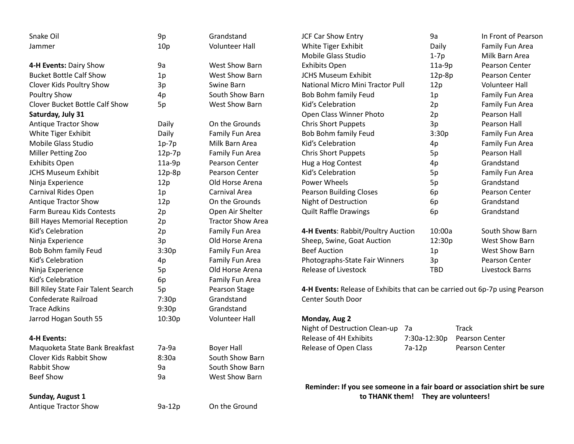| Snake Oil                                  | 9p              | Grandstand               | <b>JCF Car Show Entry</b>                                                   | 9a                                  | In Front of Pearson   |
|--------------------------------------------|-----------------|--------------------------|-----------------------------------------------------------------------------|-------------------------------------|-----------------------|
| Jammer                                     | 10 <sub>p</sub> | <b>Volunteer Hall</b>    | White Tiger Exhibit                                                         | Daily                               | Family Fun Area       |
|                                            |                 |                          | <b>Mobile Glass Studio</b>                                                  | $1-7p$                              | Milk Barn Area        |
| 4-H Events: Dairy Show                     | 9a              | <b>West Show Barn</b>    | <b>Exhibits Open</b>                                                        | $11a-9p$                            | Pearson Center        |
| <b>Bucket Bottle Calf Show</b>             | 1p              | <b>West Show Barn</b>    | <b>JCHS Museum Exhibit</b>                                                  | $12p-8p$                            | Pearson Center        |
| Clover Kids Poultry Show                   | 3p              | Swine Barn               | National Micro Mini Tractor Pull                                            | 12p                                 | <b>Volunteer Hall</b> |
| <b>Poultry Show</b>                        | 4p              | South Show Barn          | Bob Bohm family Feud                                                        | 1 <sub>p</sub>                      | Family Fun Area       |
| Clover Bucket Bottle Calf Show             | 5p              | West Show Barn           | Kid's Celebration                                                           | 2p                                  | Family Fun Area       |
| Saturday, July 31                          |                 |                          | Open Class Winner Photo                                                     | 2p                                  | Pearson Hall          |
| <b>Antique Tractor Show</b>                | Daily           | On the Grounds           | <b>Chris Short Puppets</b>                                                  | 3p                                  | Pearson Hall          |
| White Tiger Exhibit                        | Daily           | Family Fun Area          | Bob Bohm family Feud                                                        | 3:30p                               | Family Fun Area       |
| <b>Mobile Glass Studio</b>                 | $1p-7p$         | Milk Barn Area           | Kid's Celebration                                                           | 4p                                  | Family Fun Area       |
| Miller Petting Zoo                         | 12p-7p          | Family Fun Area          | <b>Chris Short Puppets</b>                                                  | 5p                                  | Pearson Hall          |
| <b>Exhibits Open</b>                       | $11a-9p$        | Pearson Center           | Hug a Hog Contest                                                           | 4p                                  | Grandstand            |
| <b>JCHS Museum Exhibit</b>                 | $12p-8p$        | Pearson Center           | Kid's Celebration                                                           | 5p                                  | Family Fun Area       |
| Ninja Experience                           | 12p             | Old Horse Arena          | Power Wheels                                                                | 5p                                  | Grandstand            |
| Carnival Rides Open                        | 1p              | Carnival Area            | <b>Pearson Building Closes</b>                                              | 6p                                  | Pearson Center        |
| <b>Antique Tractor Show</b>                | 12p             | On the Grounds           | Night of Destruction                                                        | 6p                                  | Grandstand            |
| Farm Bureau Kids Contests                  | 2p              | Open Air Shelter         | <b>Quilt Raffle Drawings</b>                                                | 6p                                  | Grandstand            |
| <b>Bill Hayes Memorial Reception</b>       | 2p              | <b>Tractor Show Area</b> |                                                                             |                                     |                       |
| Kid's Celebration                          | 2p              | Family Fun Area          | 4-H Events: Rabbit/Poultry Auction                                          | 10:00a                              | South Show Barn       |
| Ninja Experience                           | 3p              | Old Horse Arena          | Sheep, Swine, Goat Auction                                                  | 12:30p                              | West Show Barn        |
| Bob Bohm family Feud                       | 3:30p           | Family Fun Area          | <b>Beef Auction</b>                                                         | 1p                                  | West Show Barn        |
| Kid's Celebration                          | 4p              | Family Fun Area          | Photographs-State Fair Winners                                              | 3p                                  | Pearson Center        |
| Ninja Experience                           | 5p              | Old Horse Arena          | Release of Livestock                                                        | <b>TBD</b>                          | Livestock Barns       |
| Kid's Celebration                          | 6p              | Family Fun Area          |                                                                             |                                     |                       |
| <b>Bill Riley State Fair Talent Search</b> | 5p              | Pearson Stage            | 4-H Events: Release of Exhibits that can be carried out 6p-7p using Pearson |                                     |                       |
| Confederate Railroad                       | 7:30p           | Grandstand               | <b>Center South Door</b>                                                    |                                     |                       |
| <b>Trace Adkins</b>                        | 9:30p           | Grandstand               |                                                                             |                                     |                       |
| Jarrod Hogan South 55                      | 10:30p          | <b>Volunteer Hall</b>    | Monday, Aug 2                                                               |                                     |                       |
|                                            |                 |                          | Night of Destruction Clean-up                                               | 7а                                  | <b>Track</b>          |
| 4-H Events:                                |                 |                          | Release of 4H Exhibits                                                      | 7:30a-12:30p                        | Pearson Center        |
| Maquoketa State Bank Breakfast             | $7a-9a$         | <b>Boyer Hall</b>        | Release of Open Class                                                       | 7a-12p                              | <b>Pearson Center</b> |
| Clover Kids Rabbit Show                    | 8:30a           | South Show Barn          |                                                                             |                                     |                       |
| <b>Rabbit Show</b>                         | 9a              | South Show Barn          |                                                                             |                                     |                       |
| <b>Beef Show</b>                           | 9a              | West Show Barn           |                                                                             |                                     |                       |
|                                            |                 |                          | Reminder: If you see someone in a fair board or association shirt be sure   |                                     |                       |
| Sunday, August 1                           |                 |                          |                                                                             | to THANK them! They are volunteers! |                       |
| <b>Antique Tractor Show</b>                | $9a-12p$        | On the Ground            |                                                                             |                                     |                       |
|                                            |                 |                          |                                                                             |                                     |                       |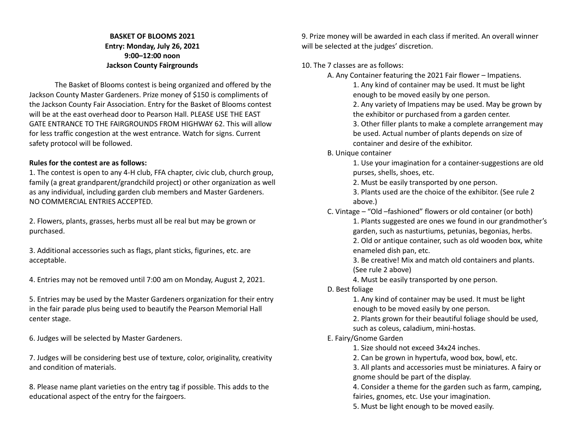## **BASKET OF BLOOMS 2021 Entry: Monday, July 26, 2021 9:00–12:00 noon Jackson County Fairgrounds**

The Basket of Blooms contest is being organized and offered by the Jackson County Master Gardeners. Prize money of \$150 is compliments of the Jackson County Fair Association. Entry for the Basket of Blooms contest will be at the east overhead door to Pearson Hall. PLEASE USE THE EAST GATE ENTRANCE TO THE FAIRGROUNDS FROM HIGHWAY 62. This will allow for less traffic congestion at the west entrance. Watch for signs. Current safety protocol will be followed.

## **Rules for the contest are as follows:**

1. The contest is open to any 4-H club, FFA chapter, civic club, church group, family (a great grandparent/grandchild project) or other organization as well as any individual, including garden club members and Master Gardeners. NO COMMERCIAL ENTRIES ACCEPTED.

2. Flowers, plants, grasses, herbs must all be real but may be grown or purchased.

3. Additional accessories such as flags, plant sticks, figurines, etc. are acceptable.

4. Entries may not be removed until 7:00 am on Monday, August 2, 2021.

5. Entries may be used by the Master Gardeners organization for their entry in the fair parade plus being used to beautify the Pearson Memorial Hall center stage.

6. Judges will be selected by Master Gardeners.

7. Judges will be considering best use of texture, color, originality, creativity and condition of materials.

8. Please name plant varieties on the entry tag if possible. This adds to the educational aspect of the entry for the fairgoers.

9. Prize money will be awarded in each class if merited. An overall winner will be selected at the judges' discretion.

10. The 7 classes are as follows:

A. Any Container featuring the 2021 Fair flower – Impatiens.

1. Any kind of container may be used. It must be light enough to be moved easily by one person.

2. Any variety of Impatiens may be used. May be grown by the exhibitor or purchased from a garden center.

3. Other filler plants to make a complete arrangement may be used. Actual number of plants depends on size of container and desire of the exhibitor.

B. Unique container

1. Use your imagination for a container-suggestions are old purses, shells, shoes, etc.

2. Must be easily transported by one person.

3. Plants used are the choice of the exhibitor. (See rule 2 above.)

C. Vintage – "Old –fashioned" flowers or old container (or both)

1. Plants suggested are ones we found in our grandmother's garden, such as nasturtiums, petunias, begonias, herbs. 2. Old or antique container, such as old wooden box, white

enameled dish pan, etc.

3. Be creative! Mix and match old containers and plants. (See rule 2 above)

4. Must be easily transported by one person.

D. Best foliage

1. Any kind of container may be used. It must be light enough to be moved easily by one person.

2. Plants grown for their beautiful foliage should be used, such as coleus, caladium, mini-hostas.

## E. Fairy/Gnome Garden

1. Size should not exceed 34x24 inches.

2. Can be grown in hypertufa, wood box, bowl, etc.

3. All plants and accessories must be miniatures. A fairy or gnome should be part of the display.

4. Consider a theme for the garden such as farm, camping, fairies, gnomes, etc. Use your imagination.

5. Must be light enough to be moved easily.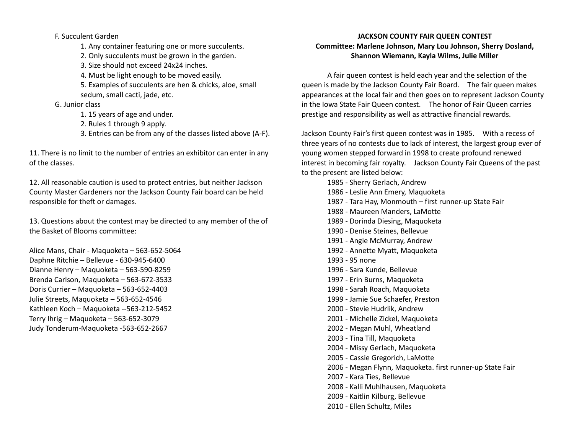## F. Succulent Garden

- 1. Any container featuring one or more succulents.
- 2. Only succulents must be grown in the garden.
- 3. Size should not exceed 24x24 inches.
- 4. Must be light enough to be moved easily.
- 5. Examples of succulents are hen & chicks, aloe, small sedum, small cacti, jade, etc.

## G. Junior class

- 1. 15 years of age and under.
- 2. Rules 1 through 9 apply.
- 3. Entries can be from any of the classes listed above (A-F).

11. There is no limit to the number of entries an exhibitor can enter in any of the classes.

12. All reasonable caution is used to protect entries, but neither Jackson County Master Gardeners nor the Jackson County Fair board can be held responsible for theft or damages.

13. Questions about the contest may be directed to any member of the of the Basket of Blooms committee:

Alice Mans, Chair - Maquoketa – 563-652-5064 Daphne Ritchie – Bellevue - 630-945-6400 Dianne Henry – Maquoketa – 563-590-8259 Brenda Carlson, Maquoketa – 563-672-3533 Doris Currier – Maquoketa – 563-652-4403 Julie Streets, Maquoketa – 563-652-4546 Kathleen Koch – Maquoketa --563-212-5452 Terry Ihrig – Maquoketa – 563-652-3079 Judy Tonderum-Maquoketa -563-652-2667

## **JACKSON COUNTY FAIR QUEEN CONTEST Committee: Marlene Johnson, Mary Lou Johnson, Sherry Dosland, Shannon Wiemann, Kayla Wilms, Julie Miller**

A fair queen contest is held each year and the selection of the queen is made by the Jackson County Fair Board. The fair queen makes appearances at the local fair and then goes on to represent Jackson County in the Iowa State Fair Queen contest. The honor of Fair Queen carries prestige and responsibility as well as attractive financial rewards.

Jackson County Fair's first queen contest was in 1985. With a recess of three years of no contests due to lack of interest, the largest group ever of young women stepped forward in 1998 to create profound renewed interest in becoming fair royalty. Jackson County Fair Queens of the past to the present are listed below:

- 1985 Sherry Gerlach, Andrew
- 1986 Leslie Ann Emery, Maquoketa
- 1987 Tara Hay, Monmouth first runner-up State Fair
- 1988 Maureen Manders, LaMotte
- 1989 Dorinda Diesing, Maquoketa
- 1990 Denise Steines, Bellevue
- 1991 Angie McMurray, Andrew
- 1992 Annette Myatt, Maquoketa
- 1993 95 none
- 1996 Sara Kunde, Bellevue
- 1997 Erin Burns, Maquoketa
- 1998 Sarah Roach, Maquoketa
- 1999 Jamie Sue Schaefer, Preston
- 2000 Stevie Hudrlik, Andrew
- 2001 Michelle Zickel, Maquoketa
- 2002 Megan Muhl, Wheatland
- 2003 Tina Till, Maquoketa
- 2004 Missy Gerlach, Maquoketa
- 2005 Cassie Gregorich, LaMotte
- 2006 Megan Flynn, Maquoketa. first runner-up State Fair
- 2007 Kara Ties, Bellevue
- 2008 Kalli Muhlhausen, Maquoketa
- 2009 Kaitlin Kilburg, Bellevue
- 2010 Ellen Schultz, Miles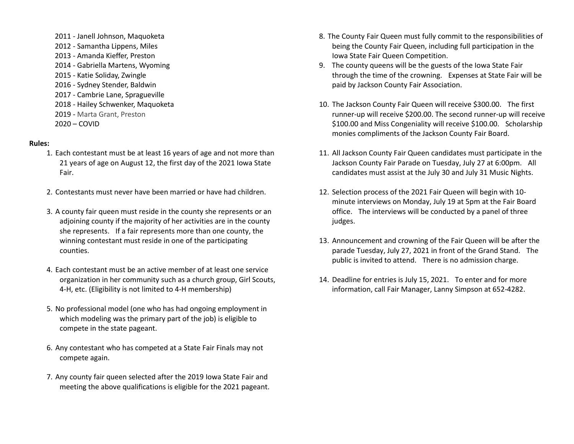2011 - Janell Johnson, Maquoketa 2012 - Samantha Lippens, Miles 2013 - Amanda Kieffer, Preston 2014 - Gabriella Martens, Wyoming 2015 - Katie Soliday, Zwingle 2016 - Sydney Stender, Baldwin 2017 - Cambrie Lane, Spragueville 2018 - Hailey Schwenker, Maquoketa 2019 - Marta Grant, Preston 2020 – COVID

#### **Rules:**

- 1. Each contestant must be at least 16 years of age and not more than 21 years of age on August 12, the first day of the 2021 Iowa State Fair.
- 2. Contestants must never have been married or have had children.
- 3. A county fair queen must reside in the county she represents or an adjoining county if the majority of her activities are in the county she represents. If a fair represents more than one county, the winning contestant must reside in one of the participating counties.
- 4. Each contestant must be an active member of at least one service organization in her community such as a church group, Girl Scouts, 4-H, etc. (Eligibility is not limited to 4-H membership)
- 5. No professional model (one who has had ongoing employment in which modeling was the primary part of the job) is eligible to compete in the state pageant.
- 6. Any contestant who has competed at a State Fair Finals may not compete again.
- 7. Any county fair queen selected after the 2019 Iowa State Fair and meeting the above qualifications is eligible for the 2021 pageant.
- 8. The County Fair Queen must fully commit to the responsibilities of being the County Fair Queen, including full participation in the Iowa State Fair Queen Competition.
- 9. The county queens will be the guests of the Iowa State Fair through the time of the crowning. Expenses at State Fair will be paid by Jackson County Fair Association.
- 10. The Jackson County Fair Queen will receive \$300.00. The first runner-up will receive \$200.00. The second runner-up will receive \$100.00 and Miss Congeniality will receive \$100.00. Scholarship monies compliments of the Jackson County Fair Board.
- 11. All Jackson County Fair Queen candidates must participate in the Jackson County Fair Parade on Tuesday, July 27 at 6:00pm. All candidates must assist at the July 30 and July 31 Music Nights.
- 12. Selection process of the 2021 Fair Queen will begin with 10 minute interviews on Monday, July 19 at 5pm at the Fair Board office. The interviews will be conducted by a panel of three judges.
- 13. Announcement and crowning of the Fair Queen will be after the parade Tuesday, July 27, 2021 in front of the Grand Stand. The public is invited to attend. There is no admission charge.
- 14. Deadline for entries is July 15, 2021. To enter and for more information, call Fair Manager, Lanny Simpson at 652-4282.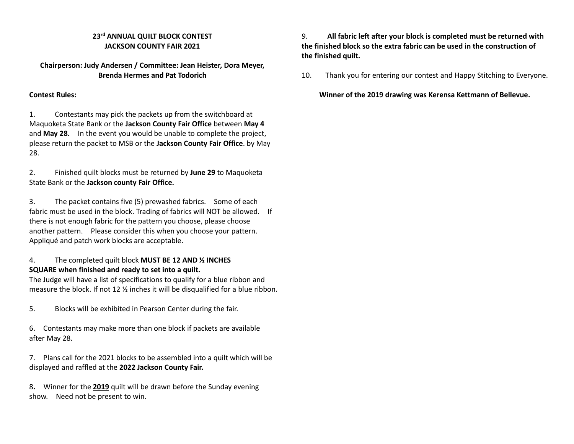## **23rd ANNUAL QUILT BLOCK CONTEST JACKSON COUNTY FAIR 2021**

## **Chairperson: Judy Andersen / Committee: Jean Heister, Dora Meyer, Brenda Hermes and Pat Todorich**

## **Contest Rules:**

1. Contestants may pick the packets up from the switchboard at Maquoketa State Bank or the **Jackson County Fair Office** between **May 4** and **May 28.** In the event you would be unable to complete the project, please return the packet to MSB or the **Jackson County Fair Office**. by May 28.

2. Finished quilt blocks must be returned by **June 29** to Maquoketa State Bank or the **Jackson county Fair Office.**

3. The packet contains five (5) prewashed fabrics. Some of each fabric must be used in the block. Trading of fabrics will NOT be allowed. If there is not enough fabric for the pattern you choose, please choose another pattern. Please consider this when you choose your pattern. Appliqué and patch work blocks are acceptable.

## 4. The completed quilt block **MUST BE 12 AND ½ INCHES SQUARE when finished and ready to set into a quilt.**

The Judge will have a list of specifications to qualify for a blue ribbon and measure the block. If not 12 ½ inches it will be disqualified for a blue ribbon.

5. Blocks will be exhibited in Pearson Center during the fair.

6. Contestants may make more than one block if packets are available after May 28.

7. Plans call for the 2021 blocks to be assembled into a quilt which will be displayed and raffled at the **2022 Jackson County Fair.**

8**.** Winner for the **2019** quilt will be drawn before the Sunday evening show. Need not be present to win.

## 9. **All fabric left after your block is completed must be returned with the finished block so the extra fabric can be used in the construction of the finished quilt.**

10. Thank you for entering our contest and Happy Stitching to Everyone.

**Winner of the 2019 drawing was Kerensa Kettmann of Bellevue.**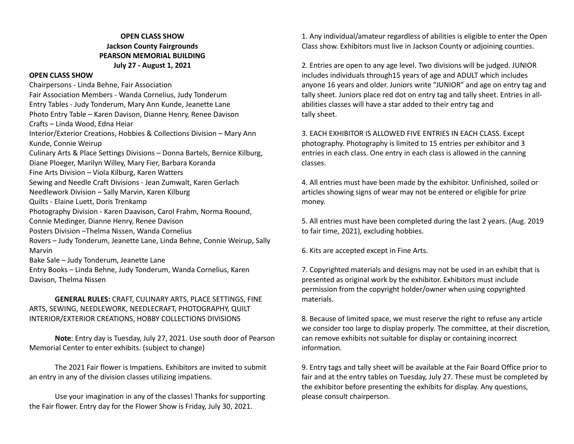## **OPEN CLASS SHOW Jackson County Fairgrounds PEARSON MEMORIAL BUILDING July 27 - August 1, 2021**

#### **OPEN CLASS SHOW**

Chairpersons - Linda Behne, Fair Association Fair Association Members - Wanda Cornelius, Judy Tonderum Entry Tables - Judy Tonderum, Mary Ann Kunde, Jeanette Lane Photo Entry Table – Karen Davison, Dianne Henry, Renee Davison Crafts – Linda Wood, Edna Heiar Interior/Exterior Creations, Hobbies & Collections Division – Mary Ann Kunde, Connie Weirup Culinary Arts & Place Settings Divisions – Donna Bartels, Bernice Kilburg, Diane Ploeger, Marilyn Willey, Mary Fier, Barbara Koranda Fine Arts Division – Viola Kilburg, Karen Watters Sewing and Needle Craft Divisions - Jean Zumwalt, Karen Gerlach Needlework Division – Sally Marvin, Karen Kilburg Quilts - Elaine Luett, Doris Trenkamp Photography Division - Karen Daavison, Carol Frahm, Norma Roound, Connie Medinger, Dianne Henry, Renee Davison Posters Division –Thelma Nissen, Wanda Cornelius Rovers – Judy Tonderum, Jeanette Lane, Linda Behne, Connie Weirup, Sally Marvin Bake Sale – Judy Tonderum, Jeanette Lane Entry Books – Linda Behne, Judy Tonderum, Wanda Cornelius, Karen Davison, Thelma Nissen

## **GENERAL RULES:** CRAFT, CULINARY ARTS, PLACE SETTINGS, FINE ARTS, SEWING, NEEDLEWORK, NEEDLECRAFT, PHOTOGRAPHY, QUILT INTERIOR/EXTERIOR CREATIONS, HOBBY COLLECTIONS DIVISIONS

**Note**: Entry day is Tuesday, July 27, 2021. Use south door of Pearson Memorial Center to enter exhibits. (subject to change)

The 2021 Fair flower is Impatiens. Exhibitors are invited to submit an entry in any of the division classes utilizing impatiens.

Use your imagination in any of the classes! Thanks for supporting the Fair flower. Entry day for the Flower Show is Friday, July 30, 2021.

1. Any individual/amateur regardless of abilities is eligible to enter the Open Class show. Exhibitors must live in Jackson County or adjoining counties.

2. Entries are open to any age level. Two divisions will be judged. JUNIOR includes individuals through15 years of age and ADULT which includes anyone 16 years and older. Juniors write "JUNIOR" and age on entry tag and tally sheet. Juniors place red dot on entry tag and tally sheet. Entries in allabilities classes will have a star added to their entry tag and tally sheet.

3. EACH EXHIBITOR IS ALLOWED FIVE ENTRIES IN EACH CLASS. Except photography. Photography is limited to 15 entries per exhibitor and 3 entries in each class. One entry in each class is allowed in the canning classes.

4. All entries must have been made by the exhibitor. Unfinished, soiled or articles showing signs of wear may not be entered or eligible for prize money.

5. All entries must have been completed during the last 2 years. (Aug. 2019 to fair time, 2021), excluding hobbies.

6. Kits are accepted except in Fine Arts.

7. Copyrighted materials and designs may not be used in an exhibit that is presented as original work by the exhibitor. Exhibitors must include permission from the copyright holder/owner when using copyrighted materials.

8. Because of limited space, we must reserve the right to refuse any article we consider too large to display properly. The committee, at their discretion, can remove exhibits not suitable for display or containing incorrect information.

9. Entry tags and tally sheet will be available at the Fair Board Office prior to fair and at the entry tables on Tuesday, July 27. These must be completed by the exhibitor before presenting the exhibits for display. Any questions, please consult chairperson.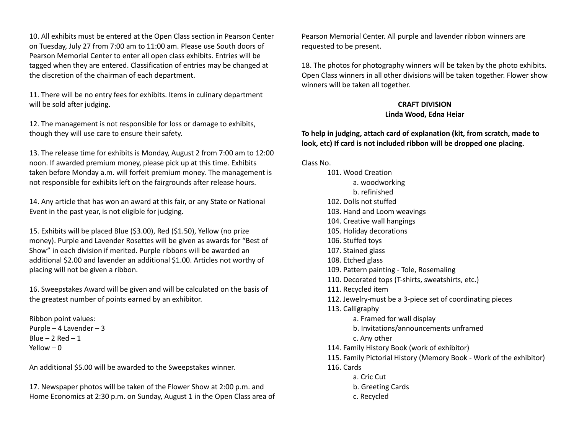10. All exhibits must be entered at the Open Class section in Pearson Center on Tuesday, July 27 from 7:00 am to 11:00 am. Please use South doors of Pearson Memorial Center to enter all open class exhibits. Entries will be tagged when they are entered. Classification of entries may be changed at the discretion of the chairman of each department.

11. There will be no entry fees for exhibits. Items in culinary department will be sold after judging.

12. The management is not responsible for loss or damage to exhibits, though they will use care to ensure their safety.

13. The release time for exhibits is Monday, August 2 from 7:00 am to 12:00 noon. If awarded premium money, please pick up at this time. Exhibits taken before Monday a.m. will forfeit premium money. The management is not responsible for exhibits left on the fairgrounds after release hours.

14. Any article that has won an award at this fair, or any State or National Event in the past year, is not eligible for judging.

15. Exhibits will be placed Blue (\$3.00), Red (\$1.50), Yellow (no prize money). Purple and Lavender Rosettes will be given as awards for "Best of Show" in each division if merited. Purple ribbons will be awarded an additional \$2.00 and lavender an additional \$1.00. Articles not worthy of placing will not be given a ribbon.

16. Sweepstakes Award will be given and will be calculated on the basis of the greatest number of points earned by an exhibitor.

Ribbon point values: Purple – 4 Lavender – 3 Blue  $-2$  Red  $-1$ Yellow  $-0$ 

An additional \$5.00 will be awarded to the Sweepstakes winner.

17. Newspaper photos will be taken of the Flower Show at 2:00 p.m. and Home Economics at 2:30 p.m. on Sunday, August 1 in the Open Class area of

Pearson Memorial Center. All purple and lavender ribbon winners are requested to be present.

18. The photos for photography winners will be taken by the photo exhibits. Open Class winners in all other divisions will be taken together. Flower show winners will be taken all together.

## **CRAFT DIVISION Linda Wood, Edna Heiar**

## **To help in judging, attach card of explanation (kit, from scratch, made to look, etc) If card is not included ribbon will be dropped one placing.**

Class No.

- 101. Wood Creation a. woodworking b. refinished 102. Dolls not stuffed 103. Hand and Loom weavings 104. Creative wall hangings 105. Holiday decorations 106. Stuffed toys 107. Stained glass 108. Etched glass 109. Pattern painting - Tole, Rosemaling 110. Decorated tops (T-shirts, sweatshirts, etc.) 111. Recycled item 112. Jewelry-must be a 3-piece set of coordinating pieces 113. Calligraphy a. Framed for wall display b. Invitations/announcements unframed c. Any other 114. Family History Book (work of exhibitor) 115. Family Pictorial History (Memory Book - Work of the exhibitor) 116. Cards a. Cric Cut b. Greeting Cards
	- c. Recycled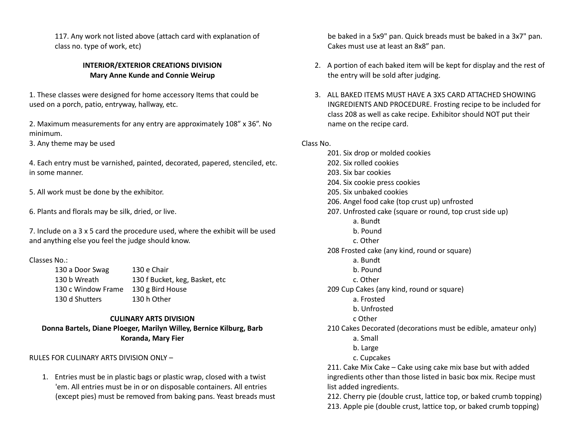117. Any work not listed above (attach card with explanation of class no. type of work, etc)

## **INTERIOR/EXTERIOR CREATIONS DIVISION Mary Anne Kunde and Connie Weirup**

1. These classes were designed for home accessory Items that could be used on a porch, patio, entryway, hallway, etc.

2. Maximum measurements for any entry are approximately 108" x 36". No minimum.

3. Any theme may be used

4. Each entry must be varnished, painted, decorated, papered, stenciled, etc. in some manner.

5. All work must be done by the exhibitor.

6. Plants and florals may be silk, dried, or live.

7. Include on a 3 x 5 card the procedure used, where the exhibit will be used and anything else you feel the judge should know.

#### Classes No.:

130 a Door Swag 130 e Chair 130 b Wreath 130 f Bucket, keg, Basket, etc 130 c Window Frame 130 g Bird House 130 d Shutters 130 h Other

#### **CULINARY ARTS DIVISION**

**Donna Bartels, Diane Ploeger, Marilyn Willey, Bernice Kilburg, Barb Koranda, Mary Fier**

RULES FOR CULINARY ARTS DIVISION ONLY –

1. Entries must be in plastic bags or plastic wrap, closed with a twist 'em. All entries must be in or on disposable containers. All entries (except pies) must be removed from baking pans. Yeast breads must

be baked in a 5x9" pan. Quick breads must be baked in a 3x7" pan. Cakes must use at least an 8x8" pan.

- 2. A portion of each baked item will be kept for display and the rest of the entry will be sold after judging.
- 3. ALL BAKED ITEMS MUST HAVE A 3X5 CARD ATTACHED SHOWING INGREDIENTS AND PROCEDURE. Frosting recipe to be included for class 208 as well as cake recipe. Exhibitor should NOT put their name on the recipe card.

## Class No.

201. Six drop or molded cookies 202. Six rolled cookies 203. Six bar cookies 204. Six cookie press cookies 205. Six unbaked cookies 206. Angel food cake (top crust up) unfrosted 207. Unfrosted cake (square or round, top crust side up) a. Bundt b. Pound c. Other 208 Frosted cake (any kind, round or square) a. Bundt b. Pound c. Other 209 Cup Cakes (any kind, round or square) a. Frosted b. Unfrosted c Other 210 Cakes Decorated (decorations must be edible, amateur only) a. Small b. Large c. Cupcakes 211. Cake Mix Cake – Cake using cake mix base but with added ingredients other than those listed in basic box mix. Recipe must list added ingredients. 212. Cherry pie (double crust, lattice top, or baked crumb topping)

213. Apple pie (double crust, lattice top, or baked crumb topping)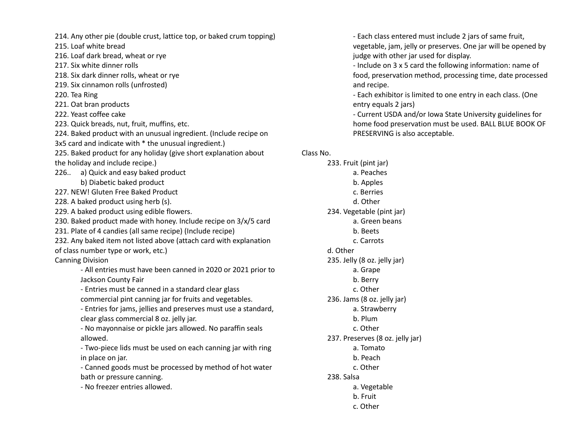214. Any other pie (double crust, lattice top, or baked crum topping)

215. Loaf white bread

216. Loaf dark bread, wheat or rye

- 217. Six white dinner rolls
- 218. Six dark dinner rolls, wheat or rye
- 219. Six cinnamon rolls (unfrosted)
- 220. Tea Ring
- 221. Oat bran products
- 222. Yeast coffee cake
- 223. Quick breads, nut, fruit, muffins, etc.
- 224. Baked product with an unusual ingredient. (Include recipe on

3x5 card and indicate with \* the unusual ingredient.)

- 225. Baked product for any holiday (give short explanation about the holiday and include recipe.)
- 226.. a) Quick and easy baked product
	- b) Diabetic baked product
- 227. NEW! Gluten Free Baked Product
- 228. A baked product using herb (s).
- 229. A baked product using edible flowers.
- 230. Baked product made with honey. Include recipe on 3/x/5 card
- 231. Plate of 4 candies (all same recipe) (Include recipe)
- 232. Any baked item not listed above (attach card with explanation
- of class number type or work, etc.)

Canning Division

- All entries must have been canned in 2020 or 2021 prior to Jackson County Fair

- Entries must be canned in a standard clear glass commercial pint canning jar for fruits and vegetables.

- Entries for jams, jellies and preserves must use a standard, clear glass commercial 8 oz. jelly jar.

- No mayonnaise or pickle jars allowed. No paraffin seals allowed.

- Two-piece lids must be used on each canning jar with ring in place on jar.

- Canned goods must be processed by method of hot water bath or pressure canning.

- No freezer entries allowed.

- Each class entered must include 2 jars of same fruit, vegetable, jam, jelly or preserves. One jar will be opened by judge with other jar used for display.

- Include on 3 x 5 card the following information: name of food, preservation method, processing time, date processed and recipe.

- Each exhibitor is limited to one entry in each class. (One entry equals 2 jars)

- Current USDA and/or Iowa State University guidelines for home food preservation must be used. BALL BLUE BOOK OF PRESERVING is also acceptable.

## Class No.

233. Fruit (pint jar) a. Peaches b. Apples c. Berries d. Other 234. Vegetable (pint jar) a. Green beans b. Beets c. Carrots d. Other 235. Jelly (8 oz. jelly jar) a. Grape b. Berry c. Other 236. Jams (8 oz. jelly jar) a. Strawberry b. Plum c. Other 237. Preserves (8 oz. jelly jar) a. Tomato b. Peach c. Other 238. Salsa a. Vegetable b. Fruit c. Other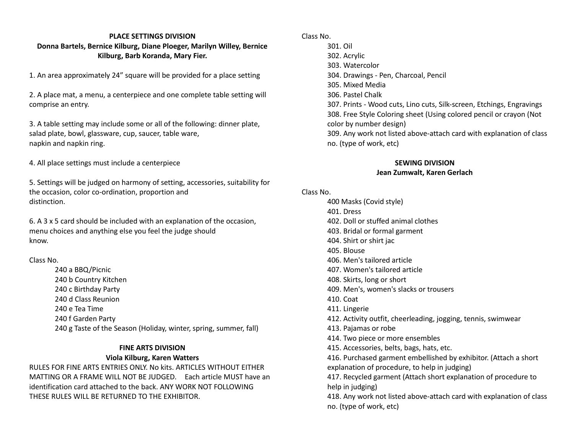## **PLACE SETTINGS DIVISION Donna Bartels, Bernice Kilburg, Diane Ploeger, Marilyn Willey, Bernice Kilburg, Barb Koranda, Mary Fier.**

1. An area approximately 24" square will be provided for a place setting

2. A place mat, a menu, a centerpiece and one complete table setting will comprise an entry.

3. A table setting may include some or all of the following: dinner plate, salad plate, bowl, glassware, cup, saucer, table ware, napkin and napkin ring.

4. All place settings must include a centerpiece

5. Settings will be judged on harmony of setting, accessories, suitability for the occasion, color co-ordination, proportion and distinction.

6. A 3 x 5 card should be included with an explanation of the occasion, menu choices and anything else you feel the judge should know.

## Class No.

240 a BBQ/Picnic 240 b Country Kitchen 240 c Birthday Party 240 d Class Reunion 240 e Tea Time 240 f Garden Party 240 g Taste of the Season (Holiday, winter, spring, summer, fall)

## **FINE ARTS DIVISION**

## **Viola Kilburg, Karen Watters**

RULES FOR FINE ARTS ENTRIES ONLY. No kits. ARTICLES WITHOUT EITHER MATTING OR A FRAME WILL NOT BE JUDGED. Each article MUST have an identification card attached to the back. ANY WORK NOT FOLLOWING THESE RULES WILL BE RETURNED TO THE EXHIBITOR.

Class No. 301. Oil 302. Acrylic 303. Watercolor 304. Drawings - Pen, Charcoal, Pencil 305. Mixed Media 306. Pastel Chalk 307. Prints - Wood cuts, Lino cuts, Silk-screen, Etchings, Engravings 308. Free Style Coloring sheet (Using colored pencil or crayon (Not color by number design) 309. Any work not listed above-attach card with explanation of class no. (type of work, etc)

## **SEWING DIVISION**

#### **Jean Zumwalt, Karen Gerlach**

## Class No.

400 Masks (Covid style) 401. Dress 402. Doll or stuffed animal clothes 403. Bridal or formal garment 404. Shirt or shirt jac 405. Blouse 406. Men's tailored article 407. Women's tailored article 408. Skirts, long or short 409. Men's, women's slacks or trousers 410. Coat 411. Lingerie 412. Activity outfit, cheerleading, jogging, tennis, swimwear 413. Pajamas or robe 414. Two piece or more ensembles 415. Accessories, belts, bags, hats, etc. 416. Purchased garment embellished by exhibitor. (Attach a short explanation of procedure, to help in judging) 417. Recycled garment (Attach short explanation of procedure to help in judging) 418. Any work not listed above-attach card with explanation of class no. (type of work, etc)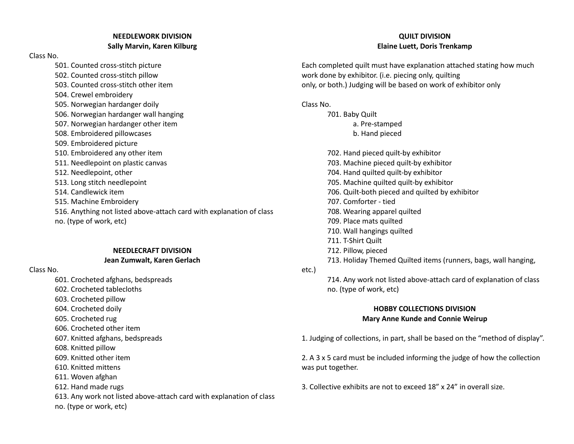## **NEEDLEWORK DIVISION Sally Marvin, Karen Kilburg**

Class No.

501. Counted cross-stitch picture 502. Counted cross-stitch pillow 503. Counted cross-stitch other item 504. Crewel embroidery 505. Norwegian hardanger doily 506. Norwegian hardanger wall hanging 507. Norwegian hardanger other item 508. Embroidered pillowcases 509. Embroidered picture 510. Embroidered any other item 511. Needlepoint on plastic canvas 512. Needlepoint, other 513. Long stitch needlepoint 514. Candlewick item 515. Machine Embroidery 516. Anything not listed above-attach card with explanation of class no. (type of work, etc)

#### **NEEDLECRAFT DIVISION Jean Zumwalt, Karen Gerlach**

Class No.

601. Crocheted afghans, bedspreads

602. Crocheted tablecloths

603. Crocheted pillow

- 604. Crocheted doily
- 605. Crocheted rug
- 606. Crocheted other item
- 607. Knitted afghans, bedspreads
- 608. Knitted pillow
- 609. Knitted other item
- 610. Knitted mittens
- 611. Woven afghan
- 612. Hand made rugs

613. Any work not listed above-attach card with explanation of class

no. (type or work, etc)

## **QUILT DIVISION Elaine Luett, Doris Trenkamp**

Each completed quilt must have explanation attached stating how much work done by exhibitor. (i.e. piecing only, quilting only, or both.) Judging will be based on work of exhibitor only

Class No.

701. Baby Quilt a. Pre-stamped b. Hand pieced

702. Hand pieced quilt-by exhibitor 703. Machine pieced quilt-by exhibitor 704. Hand quilted quilt-by exhibitor 705. Machine quilted quilt-by exhibitor 706. Quilt-both pieced and quilted by exhibitor 707. Comforter - tied 708. Wearing apparel quilted 709. Place mats quilted 710. Wall hangings quilted 711. T-Shirt Quilt 712. Pillow, pieced 713. Holiday Themed Quilted items (runners, bags, wall hanging,

etc.)

714. Any work not listed above-attach card of explanation of class no. (type of work, etc)

## **HOBBY COLLECTIONS DIVISION Mary Anne Kunde and Connie Weirup**

1. Judging of collections, in part, shall be based on the "method of display".

2. A 3 x 5 card must be included informing the judge of how the collection was put together.

3. Collective exhibits are not to exceed 18" x 24" in overall size.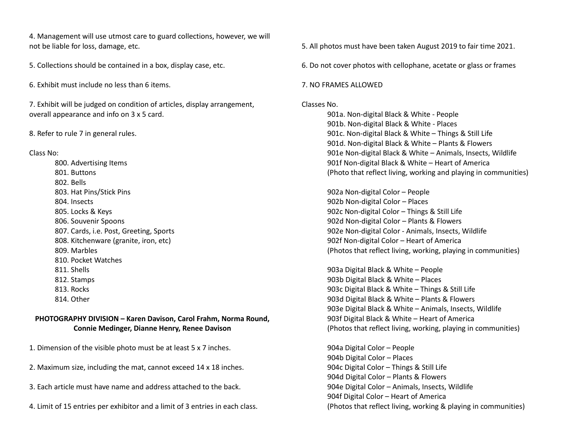4. Management will use utmost care to guard collections, however, we will not be liable for loss, damage, etc.

5. Collections should be contained in a box, display case, etc.

6. Exhibit must include no less than 6 items.

7. Exhibit will be judged on condition of articles, display arrangement, overall appearance and info on 3 x 5 card.

8. Refer to rule 7 in general rules.

Class No:

800. Advertising Items 801. Buttons 802. Bells 803. Hat Pins/Stick Pins 804. Insects 805. Locks & Keys 806. Souvenir Spoons 807. Cards, i.e. Post, Greeting, Sports 808. Kitchenware (granite, iron, etc) 809. Marbles 810. Pocket Watches 811. Shells 812. Stamps 813. Rocks 814. Other

## **PHOTOGRAPHY DIVISION – Karen Davison, Carol Frahm, Norma Round, Connie Medinger, Dianne Henry, Renee Davison**

1. Dimension of the visible photo must be at least 5 x 7 inches.

- 2. Maximum size, including the mat, cannot exceed 14 x 18 inches.
- 3. Each article must have name and address attached to the back.
- 4. Limit of 15 entries per exhibitor and a limit of 3 entries in each class.

5. All photos must have been taken August 2019 to fair time 2021.

6. Do not cover photos with cellophane, acetate or glass or frames

#### 7. NO FRAMES ALLOWED

#### Classes No.

901a. Non-digital Black & White - People 901b. Non-digital Black & White - Places 901c. Non-digital Black & White – Things & Still Life 901d. Non-digital Black & White – Plants & Flowers 901e Non-digital Black & White – Animals, Insects, Wildlife 901f Non-digital Black & White – Heart of America (Photo that reflect living, working and playing in communities)

902a Non-digital Color – People 902b Non-digital Color – Places 902c Non-digital Color – Things & Still Life 902d Non-digital Color – Plants & Flowers 902e Non-digital Color - Animals, Insects, Wildlife 902f Non-digital Color – Heart of America (Photos that reflect living, working, playing in communities)

903a Digital Black & White – People 903b Digital Black & White – Places 903c Digital Black & White – Things & Still Life 903d Digital Black & White – Plants & Flowers 903e Digital Black & White – Animals, Insects, Wildlife 903f Digital Black & White – Heart of America (Photos that reflect living, working, playing in communities)

904a Digital Color – People 904b Digital Color – Places 904c Digital Color – Things & Still Life 904d Digital Color – Plants & Flowers 904e Digital Color – Animals, Insects, Wildlife 904f Digital Color – Heart of America (Photos that reflect living, working & playing in communities)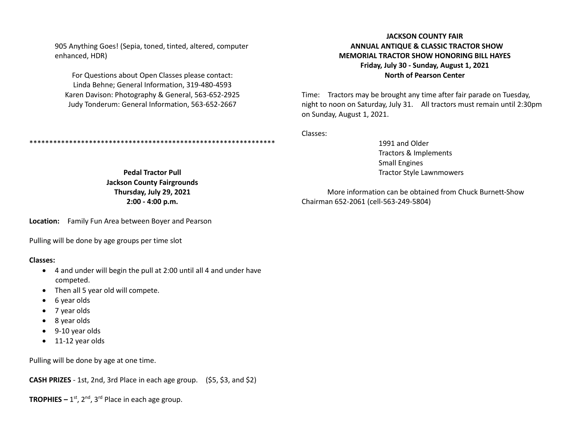905 Anything Goes! (Sepia, toned, tinted, altered, computer enhanced, HDR)

For Questions about Open Classes please contact: Linda Behne; General Information, 319-480-4593 Karen Davison: Photography & General, 563-652-2925 Judy Tonderum: General Information, 563-652-2667

## **JACKSON COUNTY FAIR ANNUAL ANTIQUE & CLASSIC TRACTOR SHOW MEMORIAL TRACTOR SHOW HONORING BILL HAYES Friday, July 30 - Sunday, August 1, 2021 North of Pearson Center**

Time: Tractors may be brought any time after fair parade on Tuesday, night to noon on Saturday, July 31. All tractors must remain until 2:30pm on Sunday, August 1, 2021.

Classes:

1991 and Older Tractors & Implements Small Engines Tractor Style Lawnmowers

More information can be obtained from Chuck Burnett-Show Chairman 652-2061 (cell-563-249-5804)

**Pedal Tractor Pull Jackson County Fairgrounds Thursday, July 29, 2021 2:00 - 4:00 p.m.**

\*\*\*\*\*\*\*\*\*\*\*\*\*\*\*\*\*\*\*\*\*\*\*\*\*\*\*\*\*\*\*\*\*\*\*\*\*\*\*\*\*\*\*\*\*\*\*\*\*\*\*\*\*\*\*\*\*\*\*\*\*\*

**Location:** Family Fun Area between Boyer and Pearson

Pulling will be done by age groups per time slot

#### **Classes:**

- 4 and under will begin the pull at 2:00 until all 4 and under have competed.
- Then all 5 year old will compete.
- 6 year olds
- 7 year olds
- 8 year olds
- 9-10 year olds
- 11-12 year olds

Pulling will be done by age at one time.

**CASH PRIZES** - 1st, 2nd, 3rd Place in each age group. (\$5, \$3, and \$2)

**TROPHIES –** 1 st, 2nd, 3rd Place in each age group.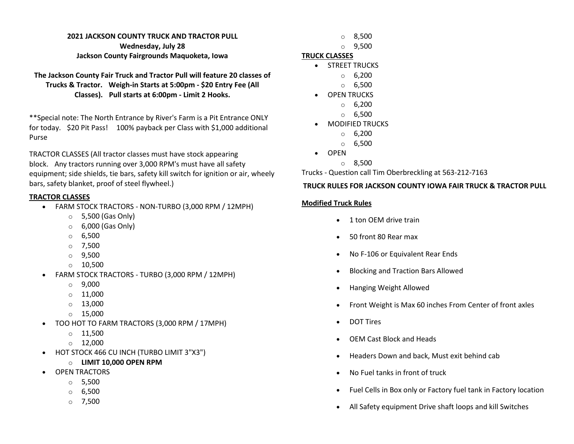## **2021 JACKSON COUNTY TRUCK AND TRACTOR PULL Wednesday, July 28 Jackson County Fairgrounds Maquoketa, Iowa**

**The Jackson County Fair Truck and Tractor Pull will feature 20 classes of Trucks & Tractor. Weigh-in Starts at 5:00pm - \$20 Entry Fee (All Classes). Pull starts at 6:00pm - Limit 2 Hooks.**

\*\*Special note: The North Entrance by River's Farm is a Pit Entrance ONLY for today. \$20 Pit Pass! 100% payback per Class with \$1,000 additional Purse

TRACTOR CLASSES (All tractor classes must have stock appearing block. Any tractors running over 3,000 RPM's must have all safety equipment; side shields, tie bars, safety kill switch for ignition or air, wheely bars, safety blanket, proof of steel flywheel.)

## **TRACTOR CLASSES**

- FARM STOCK TRACTORS NON-TURBO (3,000 RPM / 12MPH)
	- $\circ$  5,500 (Gas Only)
	- $\circ$  6,000 (Gas Only)
	- o 6,500
	- $O$  7.500
	- $\circ$  9,500
	- $\circ$  10,500
- FARM STOCK TRACTORS TURBO (3,000 RPM / 12MPH)
	- o 9,000
	- $\circ$  11,000
	- $\circ$  13,000
	- o 15,000
- TOO HOT TO FARM TRACTORS (3,000 RPM / 17MPH)
	- $\circ$  11,500
	- $O$  12,000
- HOT STOCK 466 CU INCH (TURBO LIMIT 3"X3")
	- o **LIMIT 10,000 OPEN RPM**
- OPEN TRACTORS
	- o 5,500
	- $\circ$  6,500
	- o 7,500
- o 8,500
- o 9,500

## **TRUCK CLASSES**

- STREET TRUCKS
	- o 6,200
	- o 6,500
- OPEN TRUCKS
	- o 6,200
	- o 6,500
- MODIFIED TRUCKS
	- $\circ$  6,200
	- $\circ$  6,500
- OPEN
	- $\circ$  8.500

Trucks - Question call Tim Oberbreckling at 563-212-7163

## **TRUCK RULES FOR JACKSON COUNTY IOWA FAIR TRUCK & TRACTOR PULL**

## **Modified Truck Rules**

- 1 ton OEM drive train
- 50 front 80 Rear max
- No F-106 or Equivalent Rear Ends
- Blocking and Traction Bars Allowed
- Hanging Weight Allowed
- Front Weight is Max 60 inches From Center of front axles
- DOT Tires
- OEM Cast Block and Heads
- Headers Down and back, Must exit behind cab
- No Fuel tanks in front of truck
- Fuel Cells in Box only or Factory fuel tank in Factory location
- All Safety equipment Drive shaft loops and kill Switches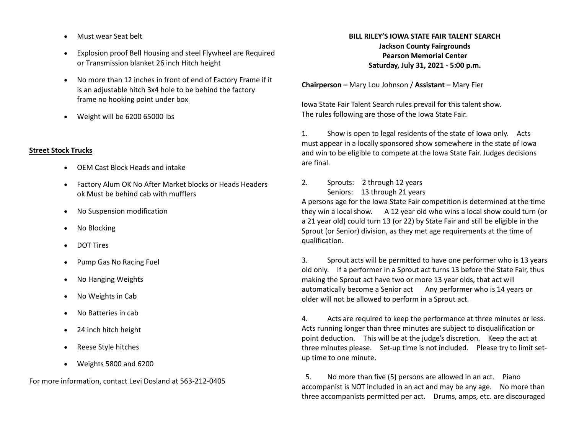- Must wear Seat belt
- Explosion proof Bell Housing and steel Flywheel are Required or Transmission blanket 26 inch Hitch height
- No more than 12 inches in front of end of Factory Frame if it is an adjustable hitch 3x4 hole to be behind the factory frame no hooking point under box
- Weight will be 6200 65000 lbs

## **Street Stock Trucks**

- OEM Cast Block Heads and intake
- Factory Alum OK No After Market blocks or Heads Headers ok Must be behind cab with mufflers
- No Suspension modification
- No Blocking
- DOT Tires
- Pump Gas No Racing Fuel
- No Hanging Weights
- No Weights in Cab
- No Batteries in cab
- 24 inch hitch height
- Reese Style hitches
- Weights 5800 and 6200

For more information, contact Levi Dosland at 563-212-0405

## **BILL RILEY'S IOWA STATE FAIR TALENT SEARCH**

**Jackson County Fairgrounds Pearson Memorial Center Saturday, July 31, 2021 - 5:00 p.m.**

**Chairperson –** Mary Lou Johnson / **Assistant –** Mary Fier

Iowa State Fair Talent Search rules prevail for this talent show. The rules following are those of the Iowa State Fair.

1. Show is open to legal residents of the state of Iowa only. Acts must appear in a locally sponsored show somewhere in the state of Iowa and win to be eligible to compete at the Iowa State Fair. Judges decisions are final.

2. Sprouts: 2 through 12 years Seniors: 13 through 21 years

A persons age for the Iowa State Fair competition is determined at the time they win a local show. A 12 year old who wins a local show could turn (or a 21 year old) could turn 13 (or 22) by State Fair and still be eligible in the Sprout (or Senior) division, as they met age requirements at the time of qualification.

3. Sprout acts will be permitted to have one performer who is 13 years old only. If a performer in a Sprout act turns 13 before the State Fair, thus making the Sprout act have two or more 13 year olds, that act will automatically become a Senior act Any performer who is 14 years or older will not be allowed to perform in a Sprout act.

4. Acts are required to keep the performance at three minutes or less. Acts running longer than three minutes are subject to disqualification or point deduction. This will be at the judge's discretion. Keep the act at three minutes please. Set-up time is not included. Please try to limit setup time to one minute.

5. No more than five (5) persons are allowed in an act. Piano accompanist is NOT included in an act and may be any age. No more than three accompanists permitted per act. Drums, amps, etc. are discouraged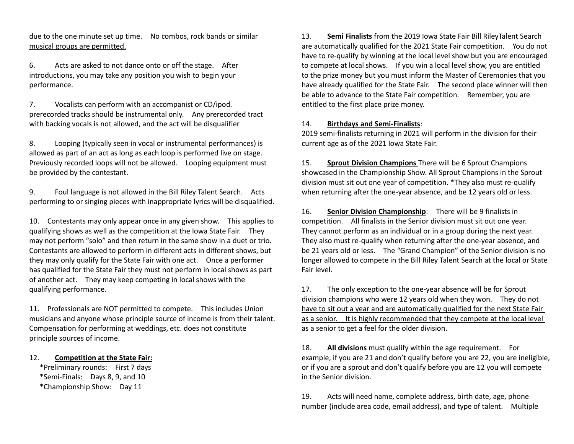due to the one minute set up time. No combos, rock bands or similar musical groups are permitted.

6. Acts are asked to not dance onto or off the stage. After introductions, you may take any position you wish to begin your performance.

7. Vocalists can perform with an accompanist or CD/ipod. prerecorded tracks should be instrumental only. Any prerecorded tract with backing vocals is not allowed, and the act will be disqualifier

8. Looping (typically seen in vocal or instrumental performances) is allowed as part of an act as long as each loop is performed live on stage. Previously recorded loops will not be allowed. Looping equipment must be provided by the contestant.

9. Foul language is not allowed in the Bill Riley Talent Search. Acts performing to or singing pieces with inappropriate lyrics will be disqualified.

10. Contestants may only appear once in any given show. This applies to qualifying shows as well as the competition at the Iowa State Fair. They may not perform "solo" and then return in the same show in a duet or trio. Contestants are allowed to perform in different acts in different shows, but they may only qualify for the State Fair with one act. Once a performer has qualified for the State Fair they must not perform in local shows as part of another act. They may keep competing in local shows with the qualifying performance.

11. Professionals are NOT permitted to compete. This includes Union musicians and anyone whose principle source of income is from their talent. Compensation for performing at weddings, etc. does not constitute principle sources of income.

#### 12. **Competition at the State Fair:**

\*Preliminary rounds: First 7 days \*Semi-Finals: Days 8, 9, and 10 \*Championship Show: Day 11

13. **Semi Finalists** from the 2019 Iowa State Fair Bill RileyTalent Search are automatically qualified for the 2021 State Fair competition. You do not have to re-qualify by winning at the local level show but you are encouraged to compete at local shows. If you win a local level show, you are entitled to the prize money but you must inform the Master of Ceremonies that you have already qualified for the State Fair. The second place winner will then be able to advance to the State Fair competition. Remember, you are entitled to the first place prize money.

#### 14. **Birthdays and Semi-Finalists**:

2019 semi-finalists returning in 2021 will perform in the division for their current age as of the 2021 Iowa State Fair.

15. **Sprout Division Champions** There will be 6 Sprout Champions showcased in the Championship Show. All Sprout Champions in the Sprout division must sit out one year of competition. \*They also must re-qualify when returning after the one-year absence, and be 12 years old or less.

16. **Senior Division Championship**: There will be 9 finalists in competition. All finalists in the Senior division must sit out one year. They cannot perform as an individual or in a group during the next year. They also must re-qualify when returning after the one-year absence, and be 21 years old or less. The "Grand Champion" of the Senior division is no longer allowed to compete in the Bill Riley Talent Search at the local or State Fair level.

17. The only exception to the one-year absence will be for Sprout division champions who were 12 years old when they won. They do not have to sit out a year and are automatically qualified for the next State Fair as a senior. It is highly recommended that they compete at the local level as a senior to get a feel for the older division.

18. **All divisions** must qualify within the age requirement. For example, if you are 21 and don't qualify before you are 22, you are ineligible, or if you are a sprout and don't qualify before you are 12 you will compete in the Senior division.

19. Acts will need name, complete address, birth date, age, phone number (include area code, email address), and type of talent. Multiple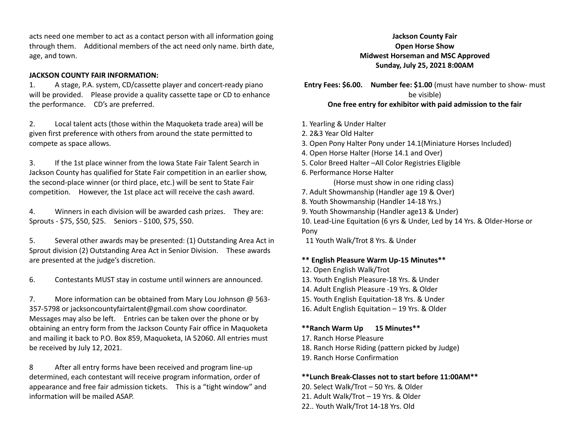acts need one member to act as a contact person with all information going through them. Additional members of the act need only name. birth date, age, and town.

#### **JACKSON COUNTY FAIR INFORMATION:**

1. A stage, P.A. system, CD/cassette player and concert-ready piano will be provided. Please provide a quality cassette tape or CD to enhance the performance. CD's are preferred.

2. Local talent acts (those within the Maquoketa trade area) will be given first preference with others from around the state permitted to compete as space allows.

3. If the 1st place winner from the Iowa State Fair Talent Search in Jackson County has qualified for State Fair competition in an earlier show, the second-place winner (or third place, etc.) will be sent to State Fair competition. However, the 1st place act will receive the cash award.

4. Winners in each division will be awarded cash prizes. They are: Sprouts - \$75, \$50, \$25. Seniors - \$100, \$75, \$50.

5. Several other awards may be presented: (1) Outstanding Area Act in Sprout division (2) Outstanding Area Act in Senior Division. These awards are presented at the judge's discretion.

6. Contestants MUST stay in costume until winners are announced.

7. More information can be obtained from Mary Lou Johnson @ 563- 357-5798 or jacksoncountyfairtalent@gmail.com show coordinator. Messages may also be left. Entries can be taken over the phone or by obtaining an entry form from the Jackson County Fair office in Maquoketa and mailing it back to P.O. Box 859, Maquoketa, IA 52060. All entries must be received by July 12, 2021.

8 After all entry forms have been received and program line-up determined, each contestant will receive program information, order of appearance and free fair admission tickets. This is a "tight window" and information will be mailed ASAP.

## **Jackson County Fair Open Horse Show Midwest Horseman and MSC Approved Sunday, July 25, 2021 8:00AM**

**Entry Fees: \$6.00. Number fee: \$1.00** (must have number to show- must be visible) **One free entry for exhibitor with paid admission to the fair**

- 1. Yearling & Under Halter
- 2. 2&3 Year Old Halter
- 3. Open Pony Halter Pony under 14.1(Miniature Horses Included)
- 4. Open Horse Halter (Horse 14.1 and Over)
- 5. Color Breed Halter –All Color Registries Eligible
- 6. Performance Horse Halter

(Horse must show in one riding class)

- 7. Adult Showmanship (Handler age 19 & Over)
- 8. Youth Showmanship (Handler 14-18 Yrs.)
- 9. Youth Showmanship (Handler age13 & Under)

10. Lead-Line Equitation (6 yrs & Under, Led by 14 Yrs. & Older-Horse or Pony

11 Youth Walk/Trot 8 Yrs. & Under

## **\*\* English Pleasure Warm Up-15 Minutes\*\***

- 12. Open English Walk/Trot
- 13. Youth English Pleasure-18 Yrs. & Under
- 14. Adult English Pleasure -19 Yrs. & Older
- 15. Youth English Equitation-18 Yrs. & Under
- 16. Adult English Equitation 19 Yrs. & Older

## **\*\*Ranch Warm Up 15 Minutes\*\***

- 17. Ranch Horse Pleasure
- 18. Ranch Horse Riding (pattern picked by Judge)
- 19. Ranch Horse Confirmation

## **\*\*Lunch Break-Classes not to start before 11:00AM\*\***

- 20. Select Walk/Trot 50 Yrs. & Older 21. Adult Walk/Trot – 19 Yrs. & Older
- 22.. Youth Walk/Trot 14-18 Yrs. Old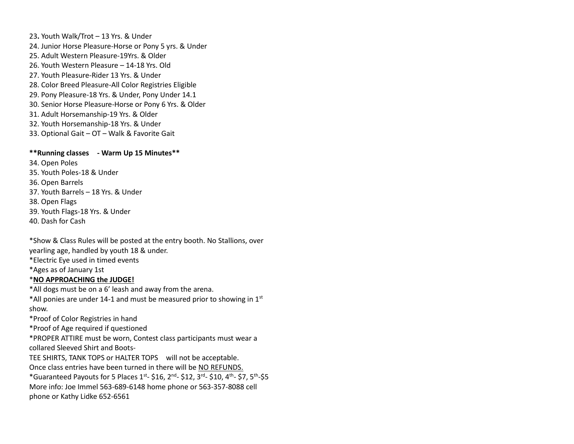23**.** Youth Walk/Trot – 13 Yrs. & Under 24. Junior Horse Pleasure-Horse or Pony 5 yrs. & Under 25. Adult Western Pleasure-19Yrs. & Older 26. Youth Western Pleasure – 14-18 Yrs. Old 27. Youth Pleasure-Rider 13 Yrs. & Under 28. Color Breed Pleasure-All Color Registries Eligible 29. Pony Pleasure-18 Yrs. & Under, Pony Under 14.1 30. Senior Horse Pleasure-Horse or Pony 6 Yrs. & Older 31. Adult Horsemanship-19 Yrs. & Older 32. Youth Horsemanship-18 Yrs. & Under 33. Optional Gait – OT – Walk & Favorite Gait

#### **\*\*Running classes - Warm Up 15 Minutes\*\***

34. Open Poles 35. Youth Poles-18 & Under 36. Open Barrels 37. Youth Barrels – 18 Yrs. & Under 38. Open Flags 39. Youth Flags-18 Yrs. & Under 40. Dash for Cash

\*Show & Class Rules will be posted at the entry booth. No Stallions, over yearling age, handled by youth 18 & under. \*Electric Eye used in timed events \*Ages as of January 1st \***NO APPROACHING the JUDGE!** \*All dogs must be on a 6' leash and away from the arena. \*All ponies are under 14-1 and must be measured prior to showing in  $1<sup>st</sup>$ show. \*Proof of Color Registries in hand \*Proof of Age required if questioned

\*PROPER ATTIRE must be worn, Contest class participants must wear a collared Sleeved Shirt and Boots-

TEE SHIRTS, TANK TOPS or HALTER TOPS will not be acceptable. Once class entries have been turned in there will be NO REFUNDS.  $*$ Guaranteed Payouts for 5 Places 1st- \$16, 2<sup>nd</sup>- \$12, 3<sup>rd</sup>- \$10, 4<sup>th</sup>- \$7, 5<sup>th</sup>-\$5 More info: Joe Immel 563-689-6148 home phone or 563-357-8088 cell phone or Kathy Lidke 652-6561